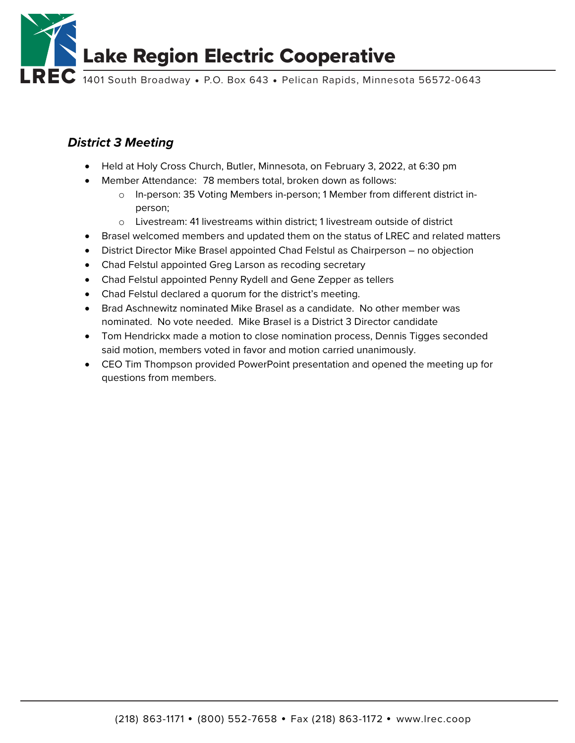

### *District 3 Meeting*

- Held at Holy Cross Church, Butler, Minnesota, on February 3, 2022, at 6:30 pm
- Member Attendance: 78 members total, broken down as follows:
	- o In-person: 35 Voting Members in-person; 1 Member from different district inperson;
	- o Livestream: 41 livestreams within district; 1 livestream outside of district
- Brasel welcomed members and updated them on the status of LREC and related matters
- District Director Mike Brasel appointed Chad Felstul as Chairperson no objection
- Chad Felstul appointed Greg Larson as recoding secretary
- Chad Felstul appointed Penny Rydell and Gene Zepper as tellers
- Chad Felstul declared a quorum for the district's meeting.
- Brad Aschnewitz nominated Mike Brasel as a candidate. No other member was nominated. No vote needed. Mike Brasel is a District 3 Director candidate
- Tom Hendrickx made a motion to close nomination process, Dennis Tigges seconded said motion, members voted in favor and motion carried unanimously.
- CEO Tim Thompson provided PowerPoint presentation and opened the meeting up for questions from members.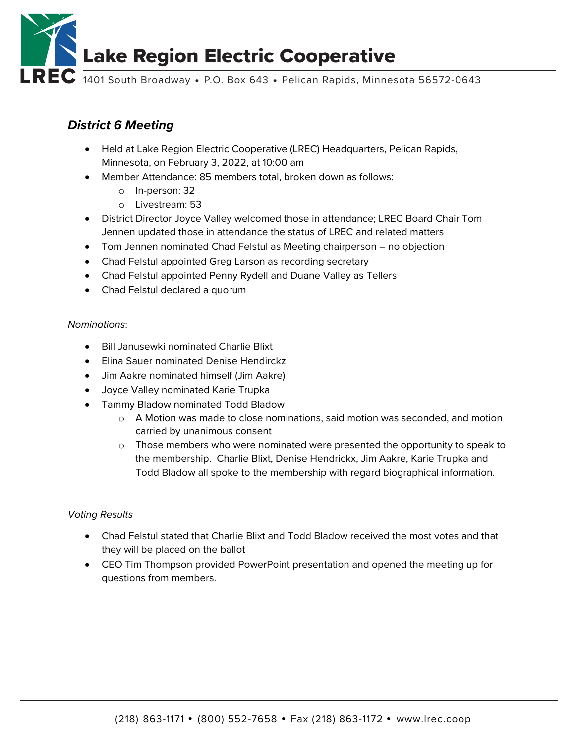

# *District 6 Meeting*

- Held at Lake Region Electric Cooperative (LREC) Headquarters, Pelican Rapids, Minnesota, on February 3, 2022, at 10:00 am
- Member Attendance: 85 members total, broken down as follows:
	- o In-person: 32
	- o Livestream: 53
- District Director Joyce Valley welcomed those in attendance; LREC Board Chair Tom Jennen updated those in attendance the status of LREC and related matters
- Tom Jennen nominated Chad Felstul as Meeting chairperson no objection
- Chad Felstul appointed Greg Larson as recording secretary
- Chad Felstul appointed Penny Rydell and Duane Valley as Tellers
- Chad Felstul declared a quorum

### *Nominations*:

- Bill Janusewki nominated Charlie Blixt
- Elina Sauer nominated Denise Hendirckz
- Jim Aakre nominated himself (Jim Aakre)
- Joyce Valley nominated Karie Trupka
- Tammy Bladow nominated Todd Bladow
	- o A Motion was made to close nominations, said motion was seconded, and motion carried by unanimous consent
	- $\circ$  Those members who were nominated were presented the opportunity to speak to the membership. Charlie Blixt, Denise Hendrickx, Jim Aakre, Karie Trupka and Todd Bladow all spoke to the membership with regard biographical information.

#### *Voting Results*

- Chad Felstul stated that Charlie Blixt and Todd Bladow received the most votes and that they will be placed on the ballot
- CEO Tim Thompson provided PowerPoint presentation and opened the meeting up for questions from members.